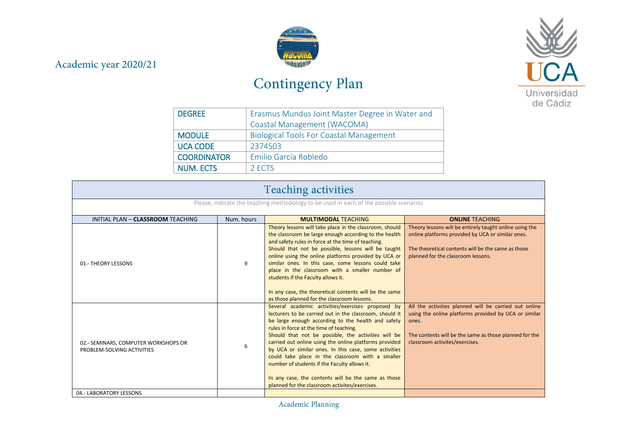## Academic year 2020/21



## Contingency Plan



| <b>DEGREE</b>      | Erasmus Mundus Joint Master Degree in Water and |  |
|--------------------|-------------------------------------------------|--|
|                    | Coastal Management (WACOMA)                     |  |
| <b>MODULE</b>      | <b>Biological Tools For Coastal Management</b>  |  |
| <b>UCA CODE</b>    | 2374503                                         |  |
| <b>COORDINATOR</b> | Emilio García Robledo                           |  |
| <b>NUM. ECTS</b>   | 2 ECTS                                          |  |

| <b>Teaching activities</b>                                                             |            |                                                                                                                                                                                                                                                                                                                                                                                                                                                                                                                                                                                                      |                                                                                                                                                                                                                     |
|----------------------------------------------------------------------------------------|------------|------------------------------------------------------------------------------------------------------------------------------------------------------------------------------------------------------------------------------------------------------------------------------------------------------------------------------------------------------------------------------------------------------------------------------------------------------------------------------------------------------------------------------------------------------------------------------------------------------|---------------------------------------------------------------------------------------------------------------------------------------------------------------------------------------------------------------------|
| Please, indicate the teaching methodology to be used in each of the possible scenarios |            |                                                                                                                                                                                                                                                                                                                                                                                                                                                                                                                                                                                                      |                                                                                                                                                                                                                     |
| INITIAL PLAN - CLASSROOM TEACHING                                                      | Num. hours | <b>MULTIMODAL TEACHING</b>                                                                                                                                                                                                                                                                                                                                                                                                                                                                                                                                                                           | <b>ONLINE TEACHING</b>                                                                                                                                                                                              |
| 01.- THEORY LESSONS                                                                    | 9          | Theory lessons will take place in the classroom, should<br>the classroom be large enough according to the health<br>and safety rules in force at the time of teaching.<br>Should that not be possible, lessons will be taught<br>online using the online platforms provided by UCA or<br>similar ones. In this case, some lessons could take<br>place in the classroom with a smaller number of<br>students if the Faculty allows it.<br>In any case, the theoretical contents will be the same<br>as those planned for the classroom lessons.                                                       | Theory lessons will be entirely taught online using the<br>online platforms provided by UCA or similar ones.<br>The theoretical contents will be the same as those<br>planned for the classroom lessons.            |
| 02.- SEMINARS, COMPUTER WORKSHOPS OR<br>PROBLEM-SOLVING ACTIVITIES                     | 6          | Several academic activities/exercises proposed by<br>lecturers to be carried out in the classroom, should it<br>be large enough according to the health and safety<br>rules in force at the time of teaching.<br>Should that not be possible, the activities will be<br>carried out online using the online platforms provided<br>by UCA or similar ones. In this case, some activities<br>could take place in the classroom with a smaller<br>number of students if the Faculty allows it.<br>In any case, the contents will be the same as those<br>planned for the classroom activites/exercises. | All the activities planned will be carried out online<br>using the online platforms provided by UCA or similar<br>ones.<br>The contents will be the same as those planned for the<br>classroom activites/exercises. |
| 04.- LABORATORY LESSONS                                                                |            |                                                                                                                                                                                                                                                                                                                                                                                                                                                                                                                                                                                                      |                                                                                                                                                                                                                     |

Academic Planning